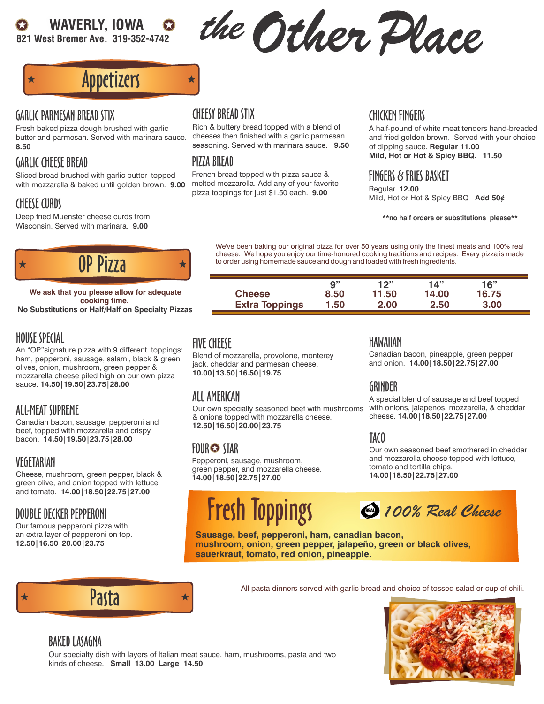# WAVERLY, IOWA

821 West Bremer Ave. 319-352-4742

the Other Place

# Appetizers

#### GARLIC PARMESAN BREAD STIX

Fresh baked pizza dough brushed with garlic butter and parmesan. Served with marinara sauce. **8.50**

# GARLIC CHEESE BREAD

Sliced bread brushed with garlic butter topped with mozzarella & baked until golden brown. **9.00**

# CHEESE CURDS

Deep fried Muenster cheese curds from Wisconsin. Served with marinara. **9.00**



**No Substitutions or Half/Half on Specialty Pizzas We ask that you please allow for adequate cooking time.**

# HOUSE SPECIAL

An "OP"signature pizza with 9 different toppings: ham, pepperoni, sausage, salami, black & green olives, onion, mushroom, green pepper & mozzarella cheese piled high on our own pizza sauce. **14.50|19.50|23.75|28.00**

# ALL-MEAT SUPREME

Canadian bacon, sausage, pepperoni and beef, topped with mozzarella and crispy bacon. **14.50|19.50|23.75|28.00**

# VEGETARIAN

Cheese, mushroom, green pepper, black & green olive, and onion topped with lettuce and tomato. **14.00|18.50|22.75|27.00**

# DOUBLE DECKER PEPPERONI

Our famous pepperoni pizza with an extra layer of pepperoni on top. **12.50|16.50|20.00|23.75**

# CHEESY BREAD STIX

★

Rich & buttery bread topped with a blend of cheeses then finished with a garlic parmesan seasoning. Served with marinara sauce. **9.50**

# PIZZA BREAD

French bread topped with pizza sauce & melted mozzarella. Add any of your favorite pizza toppings for just \$1.50 each. **9.00**

#### CHICKEN FINGERS

A half-pound of white meat tenders hand-breaded and fried golden brown. Served with your choice of dipping sauce. **Regular 11.00 Mild, Hot or Hot & Spicy BBQ. 11.50**

#### FINGERS & FRIES BASKET

Regular **12.00** Mild, Hot or Hot & Spicy BBQ **Add 50¢**

#### **\*\*no half orders or substitutions please\*\***

We've been baking our original pizza for over 50 years using only the finest meats and 100% real cheese. We hope you enjoy our time-honored cooking traditions and recipes. Every pizza is made to order using homemade sauce and dough and loaded with fresh ingredients.

|                       | 9"   | 12"   | 14"   | 16"   |
|-----------------------|------|-------|-------|-------|
| <b>Cheese</b>         | 8.50 | 11.50 | 14.00 | 16.75 |
| <b>Extra Toppings</b> | 1.50 | 2.00  | 2.50  | 3.00  |

# FIVE CHEESE

Blend of mozzarella, provolone, monterey jack, cheddar and parmesan cheese. **10.00|13.50|16.50|19.75**

# ALL AMERICAN

Our own specially seasoned beef with mushrooms & onions topped with mozzarella cheese. **12.50|16.50|20.00|23.75**

# FOUR STAR

Pepperoni, sausage, mushroom, green pepper, and mozzarella cheese. **14.00|18.50|22.75|27.00**

# Fresh Toppings

HAWAIIAN

Canadian bacon, pineapple, green pepper and onion. **14.00|18.50|22.75|27.00**

# GRINDER

A special blend of sausage and beef topped with onions, jalapenos, mozzarella, & cheddar cheese. **14.00|18.50|22.75|27.00**

# TACO

Our own seasoned beef smothered in cheddar and mozzarella cheese topped with lettuce, tomato and tortilla chips. **14.00|18.50|22.75|27.00**



**Sausage, beef, pepperoni, ham, canadian bacon, mushroom, onion, green pepper, jalapeño, green or black olives, sauerkraut, tomato, red onion, pineapple.**



All pasta dinners served with garlic bread and choice of tossed salad or cup of chili.<br>
All pasta dinners served with garlic bread and choice of tossed salad or cup of chili.

# BAKED LASAGNA

Our specialty dish with layers of Italian meat sauce, ham, mushrooms, pasta and two kinds of cheese. **Small 13.00 Large 14.50**